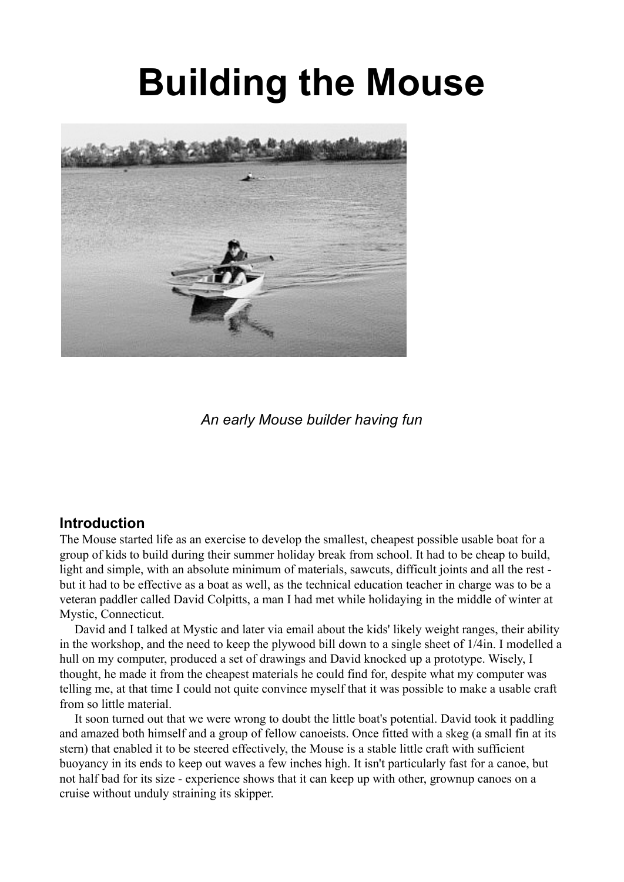# **Building the Mouse**



*An early Mouse builder having fun*

#### **Introduction**

The Mouse started life as an exercise to develop the smallest, cheapest possible usable boat for a group of kids to build during their summer holiday break from school. It had to be cheap to build, light and simple, with an absolute minimum of materials, sawcuts, difficult joints and all the rest but it had to be effective as a boat as well, as the technical education teacher in charge was to be a veteran paddler called David Colpitts, a man I had met while holidaying in the middle of winter at Mystic, Connecticut.

David and I talked at Mystic and later via email about the kids' likely weight ranges, their ability in the workshop, and the need to keep the plywood bill down to a single sheet of 1/4in. I modelled a hull on my computer, produced a set of drawings and David knocked up a prototype. Wisely, I thought, he made it from the cheapest materials he could find for, despite what my computer was telling me, at that time I could not quite convince myself that it was possible to make a usable craft from so little material.

It soon turned out that we were wrong to doubt the little boat's potential. David took it paddling and amazed both himself and a group of fellow canoeists. Once fitted with a skeg (a small fin at its stern) that enabled it to be steered effectively, the Mouse is a stable little craft with sufficient buoyancy in its ends to keep out waves a few inches high. It isn't particularly fast for a canoe, but not half bad for its size - experience shows that it can keep up with other, grownup canoes on a cruise without unduly straining its skipper.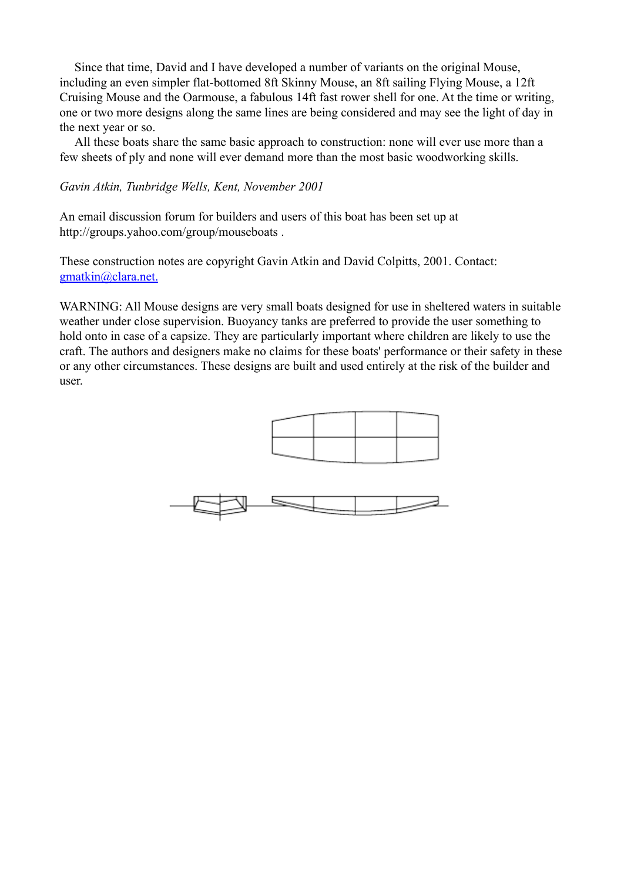Since that time, David and I have developed a number of variants on the original Mouse, including an even simpler flat-bottomed 8ft Skinny Mouse, an 8ft sailing Flying Mouse, a 12ft Cruising Mouse and the Oarmouse, a fabulous 14ft fast rower shell for one. At the time or writing, one or two more designs along the same lines are being considered and may see the light of day in the next year or so.

All these boats share the same basic approach to construction: none will ever use more than a few sheets of ply and none will ever demand more than the most basic woodworking skills.

#### *Gavin Atkin, Tunbridge Wells, Kent, November 2001*

An email discussion forum for builders and users of this boat has been set up at http://groups.yahoo.com/group/mouseboats .

These construction notes are copyright Gavin Atkin and David Colpitts, 2001. Contact: gmatkin@clara.net.

WARNING: All Mouse designs are very small boats designed for use in sheltered waters in suitable weather under close supervision. Buoyancy tanks are preferred to provide the user something to hold onto in case of a capsize. They are particularly important where children are likely to use the craft. The authors and designers make no claims for these boats' performance or their safety in these or any other circumstances. These designs are built and used entirely at the risk of the builder and user.

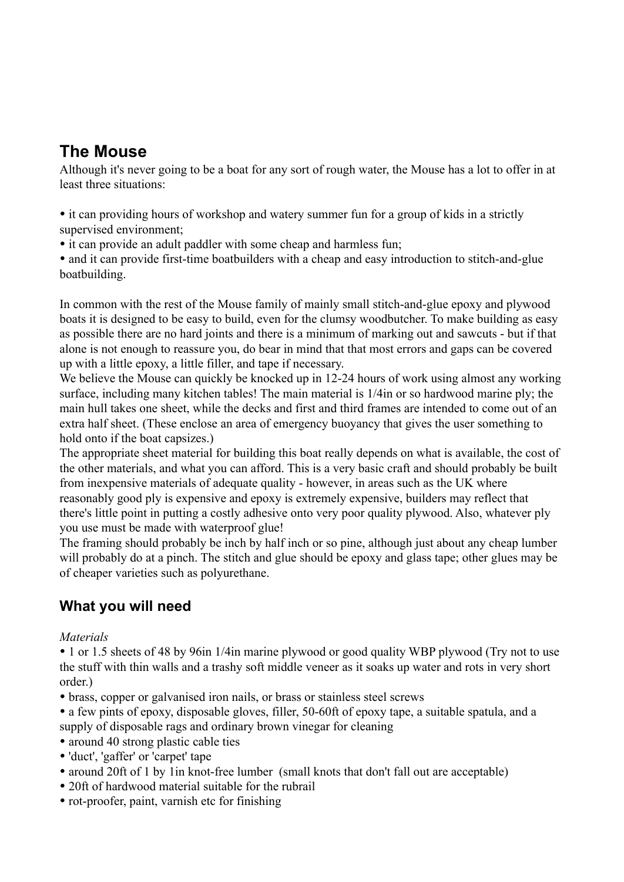## **The Mouse**

Although it's never going to be a boat for any sort of rough water, the Mouse has a lot to offer in at least three situations:

• it can providing hours of workshop and watery summer fun for a group of kids in a strictly supervised environment;

• it can provide an adult paddler with some cheap and harmless fun:

• and it can provide first-time boatbuilders with a cheap and easy introduction to stitch-and-glue boatbuilding.

In common with the rest of the Mouse family of mainly small stitch-and-glue epoxy and plywood boats it is designed to be easy to build, even for the clumsy woodbutcher. To make building as easy as possible there are no hard joints and there is a minimum of marking out and sawcuts - but if that alone is not enough to reassure you, do bear in mind that that most errors and gaps can be covered up with a little epoxy, a little filler, and tape if necessary.

We believe the Mouse can quickly be knocked up in 12-24 hours of work using almost any working surface, including many kitchen tables! The main material is 1/4in or so hardwood marine ply; the main hull takes one sheet, while the decks and first and third frames are intended to come out of an extra half sheet. (These enclose an area of emergency buoyancy that gives the user something to hold onto if the boat capsizes.)

The appropriate sheet material for building this boat really depends on what is available, the cost of the other materials, and what you can afford. This is a very basic craft and should probably be built from inexpensive materials of adequate quality - however, in areas such as the UK where reasonably good ply is expensive and epoxy is extremely expensive, builders may reflect that there's little point in putting a costly adhesive onto very poor quality plywood. Also, whatever ply you use must be made with waterproof glue!

The framing should probably be inch by half inch or so pine, although just about any cheap lumber will probably do at a pinch. The stitch and glue should be epoxy and glass tape; other glues may be of cheaper varieties such as polyurethane.

## **What you will need**

#### *Materials*

• 1 or 1.5 sheets of 48 by 96 in 1/4 in marine plywood or good quality WBP plywood (Try not to use the stuff with thin walls and a trashy soft middle veneer as it soaks up water and rots in very short order.)

- brass, copper or galvanised iron nails, or brass or stainless steel screws
- a few pints of epoxy, disposable gloves, filler, 50-60ft of epoxy tape, a suitable spatula, and a supply of disposable rags and ordinary brown vinegar for cleaning
- around 40 strong plastic cable ties
- 'duct', 'gaffer' or 'carpet' tape
- around 20ft of 1 by 1 in knot-free lumber (small knots that don't fall out are acceptable)
- 20ft of hardwood material suitable for the rubrail
- rot-proofer, paint, varnish etc for finishing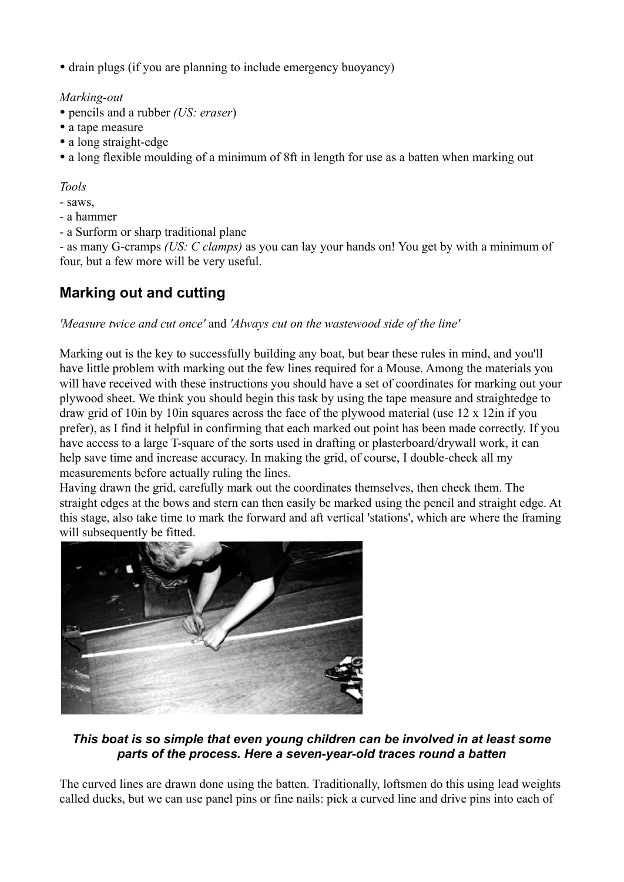• drain plugs (if you are planning to include emergency buoyancy)

*Marking-out*

- pencils and a rubber *(US: eraser*)
- a tape measure
- a long straight-edge
- a long flexible moulding of a minimum of 8ft in length for use as a batten when marking out

*Tools*

- saws,
- a hammer
- a Surform or sharp traditional plane

- as many G-cramps *(US: C clamps)* as you can lay your hands on! You get by with a minimum of four, but a few more will be very useful.

## **Marking out and cutting**

#### *'Measure twice and cut once'* and *'Always cut on the wastewood side of the line'*

Marking out is the key to successfully building any boat, but bear these rules in mind, and you'll have little problem with marking out the few lines required for a Mouse. Among the materials you will have received with these instructions you should have a set of coordinates for marking out your plywood sheet. We think you should begin this task by using the tape measure and straightedge to draw grid of 10in by 10in squares across the face of the plywood material (use 12 x 12in if you prefer), as I find it helpful in confirming that each marked out point has been made correctly. If you have access to a large T-square of the sorts used in drafting or plasterboard/drywall work, it can help save time and increase accuracy. In making the grid, of course, I double-check all my measurements before actually ruling the lines.

Having drawn the grid, carefully mark out the coordinates themselves, then check them. The straight edges at the bows and stern can then easily be marked using the pencil and straight edge. At this stage, also take time to mark the forward and aft vertical 'stations', which are where the framing will subsequently be fitted.



#### *This boat is so simple that even young children can be involved in at least some parts of the process. Here a seven-year-old traces round a batten*

The curved lines are drawn done using the batten. Traditionally, loftsmen do this using lead weights called ducks, but we can use panel pins or fine nails: pick a curved line and drive pins into each of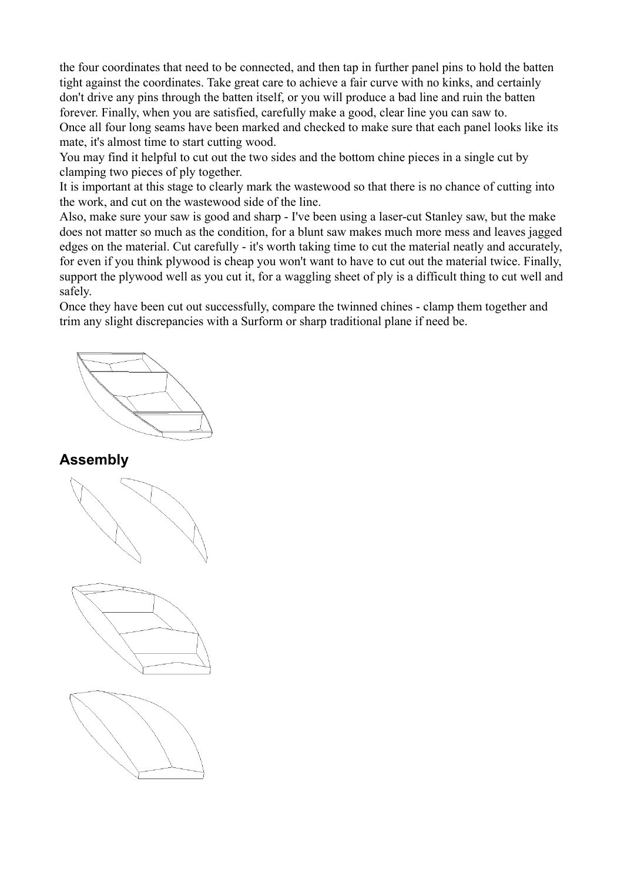the four coordinates that need to be connected, and then tap in further panel pins to hold the batten tight against the coordinates. Take great care to achieve a fair curve with no kinks, and certainly don't drive any pins through the batten itself, or you will produce a bad line and ruin the batten forever. Finally, when you are satisfied, carefully make a good, clear line you can saw to. Once all four long seams have been marked and checked to make sure that each panel looks like its mate, it's almost time to start cutting wood.

You may find it helpful to cut out the two sides and the bottom chine pieces in a single cut by clamping two pieces of ply together.

It is important at this stage to clearly mark the wastewood so that there is no chance of cutting into the work, and cut on the wastewood side of the line.

Also, make sure your saw is good and sharp - I've been using a laser-cut Stanley saw, but the make does not matter so much as the condition, for a blunt saw makes much more mess and leaves jagged edges on the material. Cut carefully - it's worth taking time to cut the material neatly and accurately, for even if you think plywood is cheap you won't want to have to cut out the material twice. Finally, support the plywood well as you cut it, for a waggling sheet of ply is a difficult thing to cut well and safely.

Once they have been cut out successfully, compare the twinned chines - clamp them together and trim any slight discrepancies with a Surform or sharp traditional plane if need be.

### **Assembly**





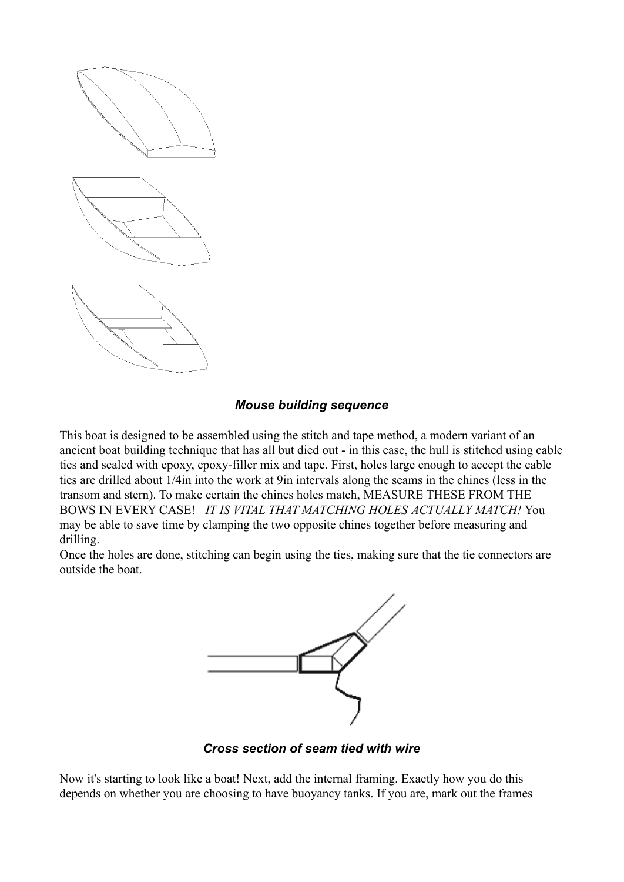

#### *Mouse building sequence*

This boat is designed to be assembled using the stitch and tape method, a modern variant of an ancient boat building technique that has all but died out - in this case, the hull is stitched using cable ties and sealed with epoxy, epoxy-filler mix and tape. First, holes large enough to accept the cable ties are drilled about 1/4in into the work at 9in intervals along the seams in the chines (less in the transom and stern). To make certain the chines holes match, MEASURE THESE FROM THE BOWS IN EVERY CASE! *IT IS VITAL THAT MATCHING HOLES ACTUALLY MATCH!* You may be able to save time by clamping the two opposite chines together before measuring and drilling.

Once the holes are done, stitching can begin using the ties, making sure that the tie connectors are outside the boat.



*Cross section of seam tied with wire*

Now it's starting to look like a boat! Next, add the internal framing. Exactly how you do this depends on whether you are choosing to have buoyancy tanks. If you are, mark out the frames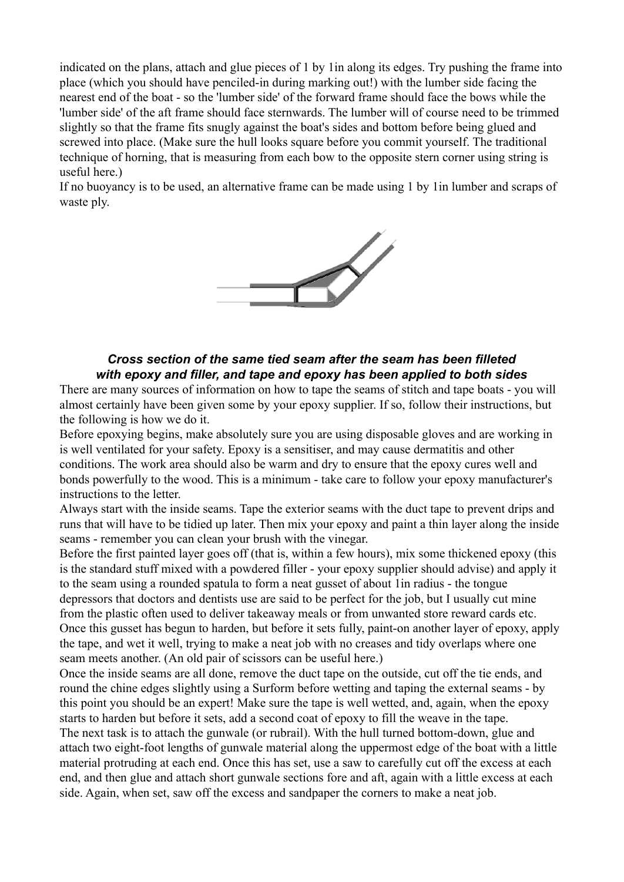indicated on the plans, attach and glue pieces of 1 by 1in along its edges. Try pushing the frame into place (which you should have penciled-in during marking out!) with the lumber side facing the nearest end of the boat - so the 'lumber side' of the forward frame should face the bows while the 'lumber side' of the aft frame should face sternwards. The lumber will of course need to be trimmed slightly so that the frame fits snugly against the boat's sides and bottom before being glued and screwed into place. (Make sure the hull looks square before you commit yourself. The traditional technique of horning, that is measuring from each bow to the opposite stern corner using string is useful here.)

If no buoyancy is to be used, an alternative frame can be made using 1 by 1in lumber and scraps of waste ply.



#### *Cross section of the same tied seam after the seam has been filleted with epoxy and filler, and tape and epoxy has been applied to both sides*

There are many sources of information on how to tape the seams of stitch and tape boats - you will almost certainly have been given some by your epoxy supplier. If so, follow their instructions, but the following is how we do it.

Before epoxying begins, make absolutely sure you are using disposable gloves and are working in is well ventilated for your safety. Epoxy is a sensitiser, and may cause dermatitis and other conditions. The work area should also be warm and dry to ensure that the epoxy cures well and bonds powerfully to the wood. This is a minimum - take care to follow your epoxy manufacturer's instructions to the letter.

Always start with the inside seams. Tape the exterior seams with the duct tape to prevent drips and runs that will have to be tidied up later. Then mix your epoxy and paint a thin layer along the inside seams - remember you can clean your brush with the vinegar.

Before the first painted layer goes off (that is, within a few hours), mix some thickened epoxy (this is the standard stuff mixed with a powdered filler - your epoxy supplier should advise) and apply it to the seam using a rounded spatula to form a neat gusset of about 1in radius - the tongue depressors that doctors and dentists use are said to be perfect for the job, but I usually cut mine from the plastic often used to deliver takeaway meals or from unwanted store reward cards etc. Once this gusset has begun to harden, but before it sets fully, paint-on another layer of epoxy, apply the tape, and wet it well, trying to make a neat job with no creases and tidy overlaps where one seam meets another. (An old pair of scissors can be useful here.)

Once the inside seams are all done, remove the duct tape on the outside, cut off the tie ends, and round the chine edges slightly using a Surform before wetting and taping the external seams - by this point you should be an expert! Make sure the tape is well wetted, and, again, when the epoxy starts to harden but before it sets, add a second coat of epoxy to fill the weave in the tape.

The next task is to attach the gunwale (or rubrail). With the hull turned bottom-down, glue and attach two eight-foot lengths of gunwale material along the uppermost edge of the boat with a little material protruding at each end. Once this has set, use a saw to carefully cut off the excess at each end, and then glue and attach short gunwale sections fore and aft, again with a little excess at each side. Again, when set, saw off the excess and sandpaper the corners to make a neat job.